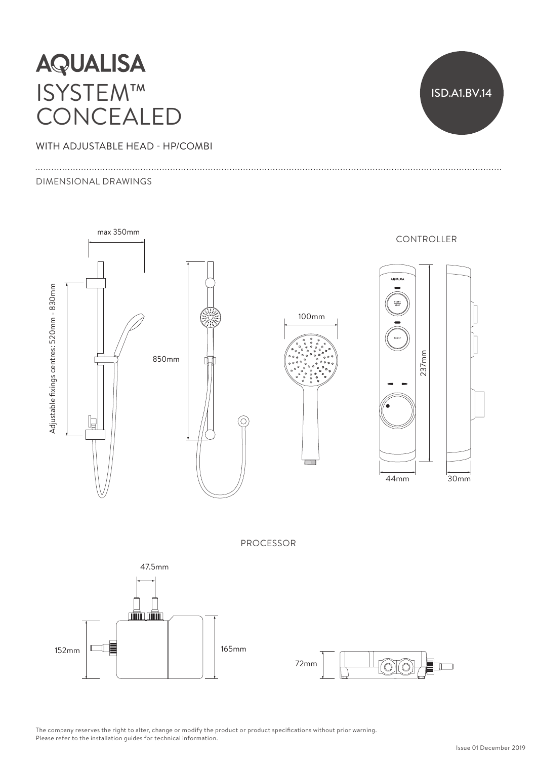# **AQUALISA** ISYSTEM™ CONCEALED

WITH ADJUSTABLE HEAD - HP/COMBI

#### DIMENSIONAL DRAWINGS





 $152 \text{mm}$   $\Box$